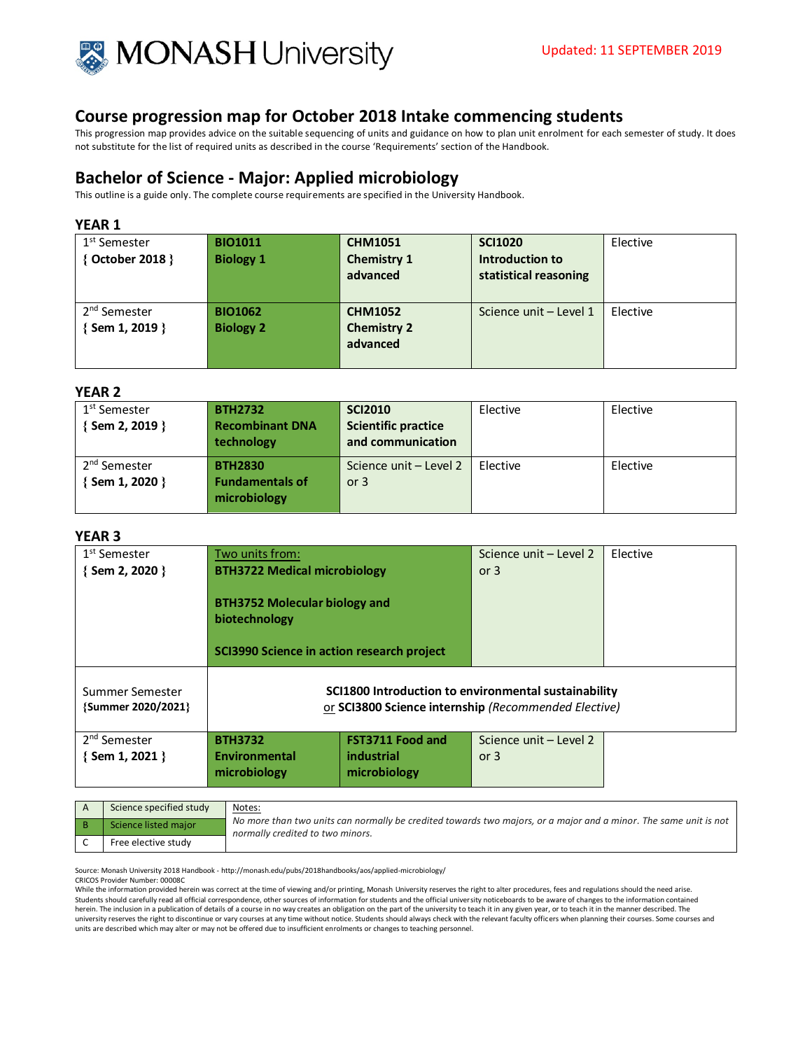

This progression map provides advice on the suitable sequencing of units and guidance on how to plan unit enrolment for each semester of study. It does not substitute for the list of required units as described in the course 'Requirements' section of the Handbook.

### **Bachelor of Science - Major: Applied microbiology**

This outline is a guide only. The complete course requirements are specified in the University Handbook.

#### **YEAR 1**

| 1 <sup>st</sup> Semester<br>{ October 2018 }      | <b>BIO1011</b><br><b>Biology 1</b> | <b>CHM1051</b><br><b>Chemistry 1</b><br>advanced | <b>SCI1020</b><br>Introduction to<br>statistical reasoning | Elective |
|---------------------------------------------------|------------------------------------|--------------------------------------------------|------------------------------------------------------------|----------|
| 2 <sup>nd</sup> Semester<br>$\{$ Sem 1, 2019 $\}$ | <b>BIO1062</b><br><b>Biology 2</b> | <b>CHM1052</b><br><b>Chemistry 2</b><br>advanced | Science unit - Level 1                                     | Elective |

#### **YEAR 2**

| 1 <sup>st</sup> Semester<br>{ Sem 2, 2019 } | <b>BTH2732</b><br><b>Recombinant DNA</b><br>technology   | <b>SCI2010</b><br><b>Scientific practice</b><br>and communication | Elective | Elective |
|---------------------------------------------|----------------------------------------------------------|-------------------------------------------------------------------|----------|----------|
| 2 <sup>nd</sup> Semester<br>{ Sem 1, 2020 } | <b>BTH2830</b><br><b>Fundamentals of</b><br>microbiology | Science unit - Level 2<br>or $3$                                  | Elective | Elective |

#### **YEAR 3**

| 1 <sup>st</sup> Semester<br>$\{$ Sem 2, 2020 $\}$ | Two units from:<br><b>BTH3722 Medical microbiology</b> |                                                                                                                     | Science unit - Level 2<br>or $3$ | Elective |
|---------------------------------------------------|--------------------------------------------------------|---------------------------------------------------------------------------------------------------------------------|----------------------------------|----------|
|                                                   | <b>BTH3752 Molecular biology and</b><br>biotechnology  |                                                                                                                     |                                  |          |
|                                                   | SCI3990 Science in action research project             |                                                                                                                     |                                  |          |
| Summer Semester<br>{Summer 2020/2021}             |                                                        | SCI1800 Introduction to environmental sustainability<br>or <b>SCI3800 Science internship</b> (Recommended Elective) |                                  |          |
| 2 <sup>nd</sup> Semester<br>$\{$ Sem 1, 2021 $\}$ | <b>BTH3732</b><br><b>Environmental</b><br>microbiology | <b>FST3711 Food and</b><br>industrial<br>microbiology                                                               | Science unit - Level 2<br>or $3$ |          |

| Science specified study | Notes:<br>No more than two units can normally be credited towards two majors, or a major and a minor. The same unit is not<br>normally credited to two minors. |
|-------------------------|----------------------------------------------------------------------------------------------------------------------------------------------------------------|
| Science listed major    |                                                                                                                                                                |
| Free elective study     |                                                                                                                                                                |

Source: Monash University 2018 Handbook - http://monash.edu/pubs/2018handbooks/aos/applied-microbiology/

CRICOS Provider Number: 00008C

While the information provided herein was correct at the time of viewing and/or printing, Monash University reserves the right to alter procedures, fees and regulations should the need arise.<br>Students should carefully read herein. The inclusion in a publication of details of a course in no way creates an obligation on the part of the university to teach it in any given year, or to teach it in the manner described. The university reserves the right to discontinue or vary courses at any time without notice. Students should always check with the relevant faculty officers when planning their courses. Some courses and units are described which may alter or may not be offered due to insufficient enrolments or changes to teaching personnel.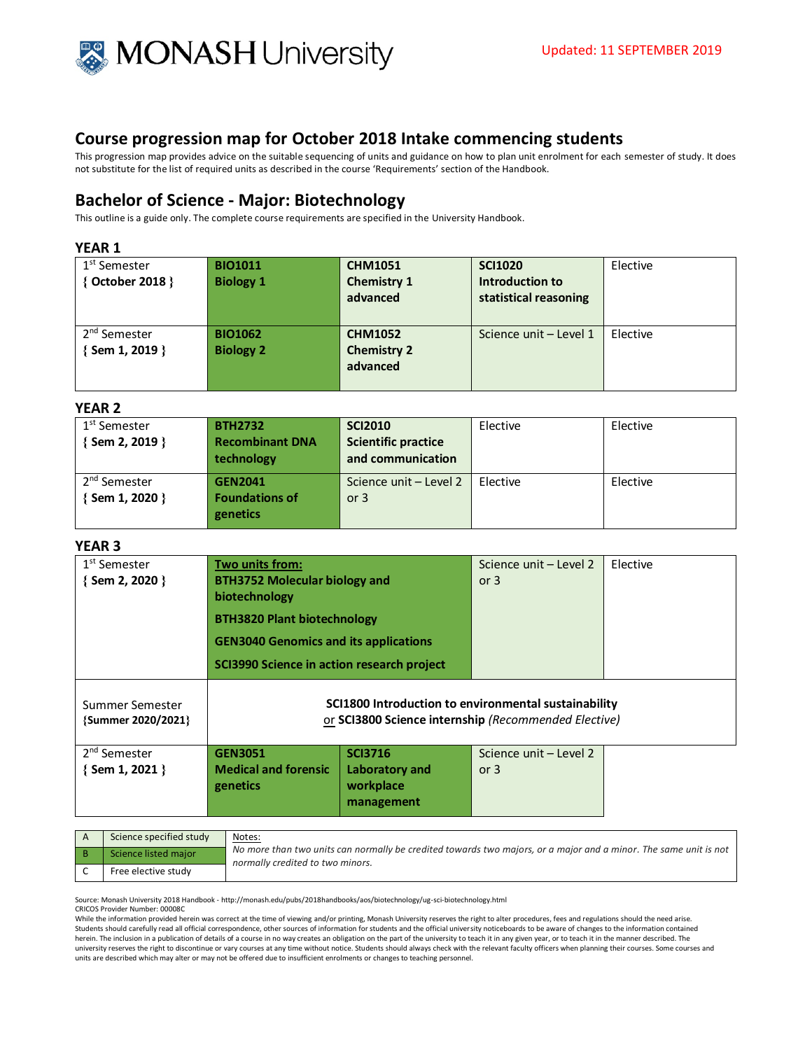

This progression map provides advice on the suitable sequencing of units and guidance on how to plan unit enrolment for each semester of study. It does not substitute for the list of required units as described in the course 'Requirements' section of the Handbook.

# **Bachelor of Science - Major: Biotechnology**

This outline is a guide only. The complete course requirements are specified in the University Handbook.

#### **YEAR 1**

| 1 <sup>st</sup> Semester | <b>BIO1011</b>   | <b>CHM1051</b>     | <b>SCI1020</b>         | Elective |
|--------------------------|------------------|--------------------|------------------------|----------|
| { October 2018 }         | <b>Biology 1</b> | <b>Chemistry 1</b> | Introduction to        |          |
|                          |                  | advanced           | statistical reasoning  |          |
|                          |                  |                    |                        |          |
| 2 <sup>nd</sup> Semester | <b>BIO1062</b>   | <b>CHM1052</b>     | Science unit - Level 1 | Elective |
| { Sem 1, 2019 }          | <b>Biology 2</b> | <b>Chemistry 2</b> |                        |          |
|                          |                  | advanced           |                        |          |
|                          |                  |                    |                        |          |

#### **YEAR 2**

| 1 <sup>st</sup> Semester | <b>BTH2732</b>         | <b>SCI2010</b>             | Elective | Elective |
|--------------------------|------------------------|----------------------------|----------|----------|
| $\{$ Sem 2, 2019 $\}$    | <b>Recombinant DNA</b> | <b>Scientific practice</b> |          |          |
|                          | technology             | and communication          |          |          |
| 2 <sup>nd</sup> Semester | <b>GEN2041</b>         | Science unit – Level 2     | Elective | Elective |
| $\{$ Sem 1, 2020 $\}$    | <b>Foundations of</b>  | or $3$                     |          |          |
|                          | genetics               |                            |          |          |
|                          |                        |                            |          |          |

#### **YEAR 3**

| 1 <sup>st</sup> Semester<br>$\{$ Sem 2, 2020 $\}$                                                                                                                                                                                                                                       | Two units from:<br><b>BTH3752 Molecular biology and</b><br>biotechnology |                                                             | Science unit - Level 2<br>or $3$                                                                                    | Elective |
|-----------------------------------------------------------------------------------------------------------------------------------------------------------------------------------------------------------------------------------------------------------------------------------------|--------------------------------------------------------------------------|-------------------------------------------------------------|---------------------------------------------------------------------------------------------------------------------|----------|
|                                                                                                                                                                                                                                                                                         | <b>BTH3820 Plant biotechnology</b>                                       |                                                             |                                                                                                                     |          |
|                                                                                                                                                                                                                                                                                         | <b>GEN3040 Genomics and its applications</b>                             |                                                             |                                                                                                                     |          |
|                                                                                                                                                                                                                                                                                         | SCI3990 Science in action research project                               |                                                             |                                                                                                                     |          |
| Summer Semester<br>{Summer 2020/2021}                                                                                                                                                                                                                                                   |                                                                          |                                                             | SCI1800 Introduction to environmental sustainability<br>or <b>SCI3800 Science internship</b> (Recommended Elective) |          |
| 2 <sup>nd</sup> Semester<br>$\{$ Sem 1, 2021 $\}$                                                                                                                                                                                                                                       | <b>GEN3051</b><br><b>Medical and forensic</b><br>genetics                | <b>SCI3716</b><br>Laboratory and<br>workplace<br>management | Science unit - Level 2<br>or $3$                                                                                    |          |
| Science specified study<br>$\mathsf{A}$<br>Notes:<br>$\mathcal{L}$ , and the contract of the contract of the contract of the contract of the contract of the contract of the contract of the contract of the contract of the contract of the contract of the contract of the contract o |                                                                          |                                                             |                                                                                                                     |          |

| Science specified study | Notes:                                                                                                                                               |
|-------------------------|------------------------------------------------------------------------------------------------------------------------------------------------------|
| Science listed major    | No more than two units can normally be credited towards two majors, or a major and a minor. The same unit is not<br>normally credited to two minors. |
| Free elective study     |                                                                                                                                                      |
|                         |                                                                                                                                                      |

Source: Monash University 2018 Handbook - http://monash.edu/pubs/2018handbooks/aos/biotechnology/ug-sci-biotechnology.html

CRICOS Provider Number: 00008C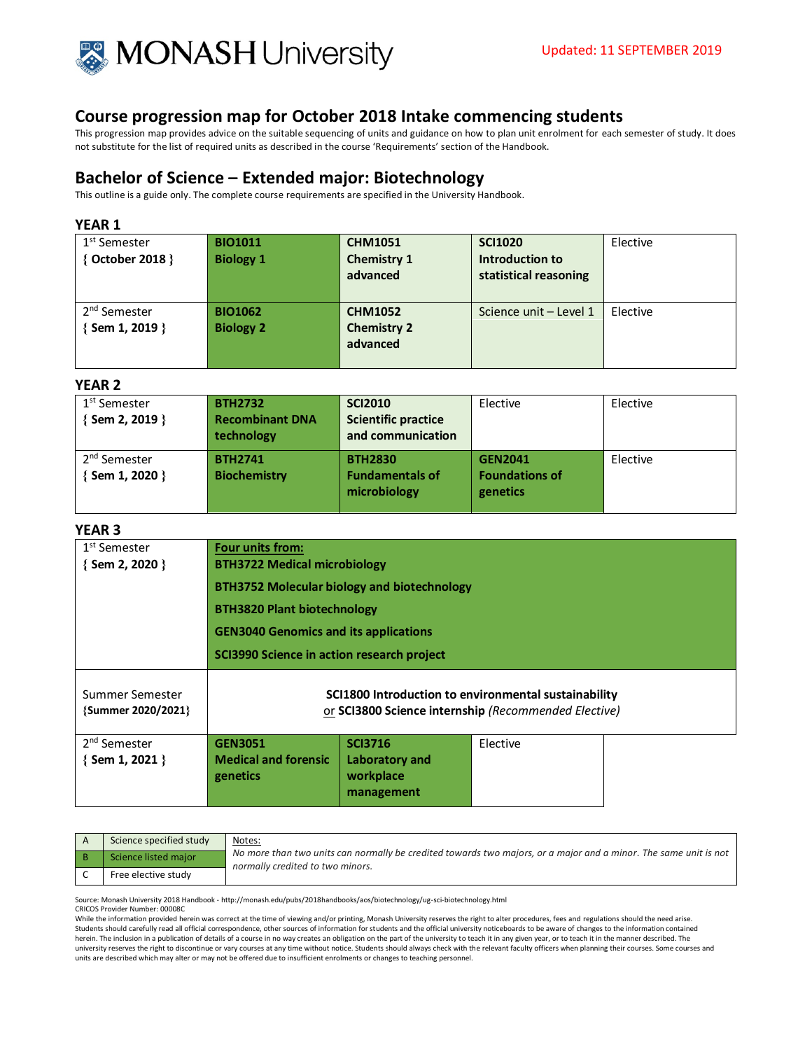

This progression map provides advice on the suitable sequencing of units and guidance on how to plan unit enrolment for each semester of study. It does not substitute for the list of required units as described in the course 'Requirements' section of the Handbook.

### **Bachelor of Science – Extended major: Biotechnology**

This outline is a guide only. The complete course requirements are specified in the University Handbook.

#### **YEAR 1**

| 1 <sup>st</sup> Semester | <b>BIO1011</b>   | <b>CHM1051</b>     | <b>SCI1020</b>         | Elective |
|--------------------------|------------------|--------------------|------------------------|----------|
| { October 2018 }         | <b>Biology 1</b> | <b>Chemistry 1</b> | Introduction to        |          |
|                          |                  | advanced           | statistical reasoning  |          |
|                          |                  |                    |                        |          |
| 2 <sup>nd</sup> Semester | <b>BIO1062</b>   | <b>CHM1052</b>     | Science unit - Level 1 | Elective |
|                          |                  |                    |                        |          |
| $\{$ Sem 1, 2019 $\}$    | <b>Biology 2</b> | <b>Chemistry 2</b> |                        |          |
|                          |                  | advanced           |                        |          |
|                          |                  |                    |                        |          |
|                          |                  |                    |                        |          |

#### **YEAR 2**

| 1 <sup>st</sup> Semester<br>{Sem 2, 2019 }  | <b>BTH2732</b><br><b>Recombinant DNA</b><br>technology | <b>SCI2010</b><br><b>Scientific practice</b><br>and communication | Elective                                            | Elective |
|---------------------------------------------|--------------------------------------------------------|-------------------------------------------------------------------|-----------------------------------------------------|----------|
| 2 <sup>nd</sup> Semester<br>{ Sem 1, 2020 } | <b>BTH2741</b><br><b>Biochemistry</b>                  | <b>BTH2830</b><br><b>Fundamentals of</b><br>microbiology          | <b>GEN2041</b><br><b>Foundations of</b><br>genetics | Elective |

#### **YEAR 3**

| 1 <sup>st</sup> Semester<br>$\{$ Sem 2, 2020 $\}$ | <b>Four units from:</b><br><b>BTH3722 Medical microbiology</b> |                                                    |                                                                                                              |  |  |
|---------------------------------------------------|----------------------------------------------------------------|----------------------------------------------------|--------------------------------------------------------------------------------------------------------------|--|--|
|                                                   |                                                                | <b>BTH3752 Molecular biology and biotechnology</b> |                                                                                                              |  |  |
|                                                   | <b>BTH3820 Plant biotechnology</b>                             |                                                    |                                                                                                              |  |  |
|                                                   |                                                                | <b>GEN3040 Genomics and its applications</b>       |                                                                                                              |  |  |
|                                                   | SCI3990 Science in action research project                     |                                                    |                                                                                                              |  |  |
| Summer Semester<br>{Summer 2020/2021}             |                                                                |                                                    | SCI1800 Introduction to environmental sustainability<br>or SCI3800 Science internship (Recommended Elective) |  |  |
| 2 <sup>nd</sup> Semester<br>$\{$ Sem 1, 2021 $\}$ | <b>GEN3051</b><br><b>Medical and forensic</b>                  | <b>SCI3716</b><br>Laboratory and                   | Elective                                                                                                     |  |  |
|                                                   | genetics                                                       | workplace<br>management                            |                                                                                                              |  |  |

| Science specified study | Notes:<br>No more than two units can normally be credited towards two majors, or a major and a minor. The same unit is not<br>normally credited to two minors. |
|-------------------------|----------------------------------------------------------------------------------------------------------------------------------------------------------------|
| Science listed major    |                                                                                                                                                                |
| Free elective study     |                                                                                                                                                                |

Source: Monash University 2018 Handbook - http://monash.edu/pubs/2018handbooks/aos/biotechnology/ug-sci-biotechnology.html

CRICOS Provider Number: 00008C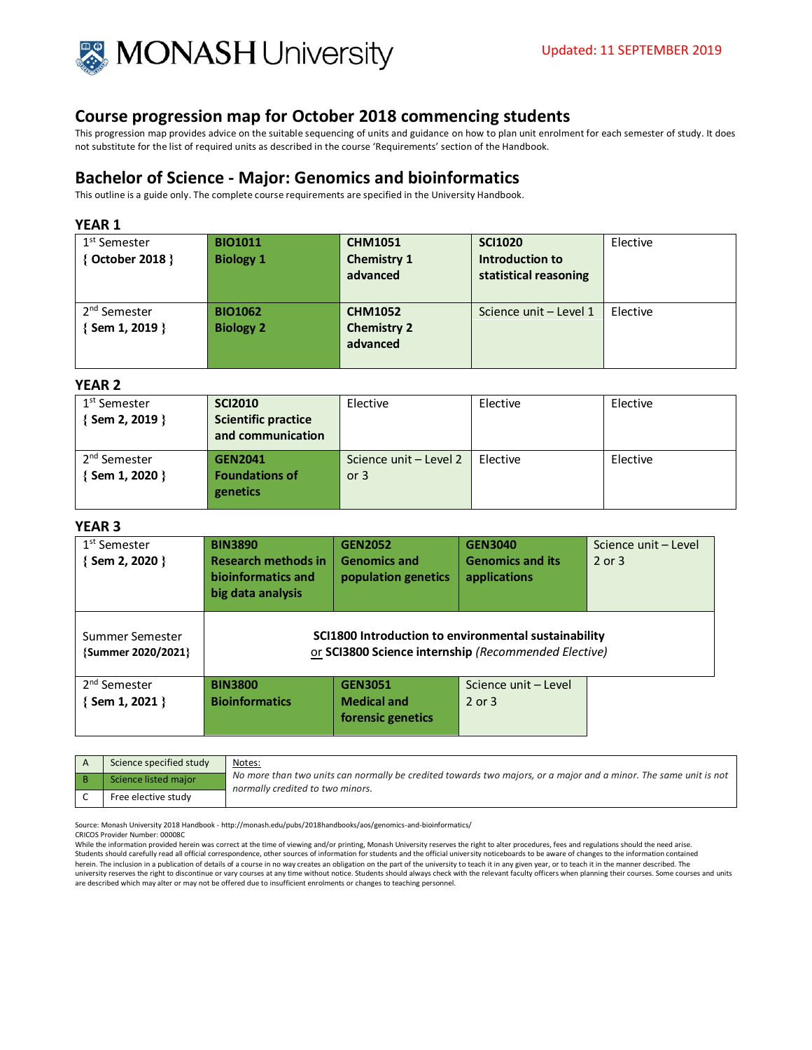

This progression map provides advice on the suitable sequencing of units and guidance on how to plan unit enrolment for each semester of study. It does not substitute for the list of required units as described in the course 'Requirements' section of the Handbook.

### **Bachelor of Science - Major: Genomics and bioinformatics**

This outline is a guide only. The complete course requirements are specified in the University Handbook.

#### **YEAR 1**

| 1 <sup>st</sup> Semester | <b>BIO1011</b>   | <b>CHM1051</b>     | <b>SCI1020</b>         | Elective |
|--------------------------|------------------|--------------------|------------------------|----------|
| { October 2018 }         | <b>Biology 1</b> | <b>Chemistry 1</b> | Introduction to        |          |
|                          |                  | advanced           | statistical reasoning  |          |
|                          |                  |                    |                        |          |
| 2 <sup>nd</sup> Semester | <b>BIO1062</b>   | <b>CHM1052</b>     | Science unit - Level 1 | Elective |
|                          |                  |                    |                        |          |
| $\{$ Sem 1, 2019 $\}$    | <b>Biology 2</b> | <b>Chemistry 2</b> |                        |          |
|                          |                  | advanced           |                        |          |
|                          |                  |                    |                        |          |
|                          |                  |                    |                        |          |

#### **YEAR 2**

| 1 <sup>st</sup> Semester | <b>SCI2010</b>             | Elective               | Elective | Elective |
|--------------------------|----------------------------|------------------------|----------|----------|
| $\{$ Sem 2, 2019 $\}$    | <b>Scientific practice</b> |                        |          |          |
|                          | and communication          |                        |          |          |
| 2 <sup>nd</sup> Semester | <b>GEN2041</b>             | Science unit – Level 2 | Elective | Elective |
| $\{$ Sem 1, 2020 $\}$    | <b>Foundations of</b>      | or $3$                 |          |          |
|                          | genetics                   |                        |          |          |

#### **YEAR 3**

| 1 <sup>st</sup> Semester<br>$\{$ Sem 2, 2020 $\}$ | <b>BIN3890</b><br><b>Research methods in</b><br>bioinformatics and<br>big data analysis                      | <b>GEN2052</b><br><b>Genomics and</b><br>population genetics | <b>GEN3040</b><br><b>Genomics and its</b><br>applications | Science unit - Level<br>$2$ or $3$ |
|---------------------------------------------------|--------------------------------------------------------------------------------------------------------------|--------------------------------------------------------------|-----------------------------------------------------------|------------------------------------|
| Summer Semester<br>{Summer 2020/2021}             | SCI1800 Introduction to environmental sustainability<br>or SCI3800 Science internship (Recommended Elective) |                                                              |                                                           |                                    |
| 2 <sup>nd</sup> Semester                          | <b>BIN3800</b>                                                                                               | <b>GEN3051</b>                                               | Science unit - Level                                      |                                    |
| $\{$ Sem 1, 2021 $\}$                             | <b>Bioinformatics</b>                                                                                        | <b>Medical and</b><br>forensic genetics                      | 2 or 3                                                    |                                    |

| Science specified study | Notes:                                                                                                                                               |
|-------------------------|------------------------------------------------------------------------------------------------------------------------------------------------------|
| Science listed major    | No more than two units can normally be credited towards two majors, or a major and a minor. The same unit is not<br>normally credited to two minors. |
| Free elective study     |                                                                                                                                                      |

Source: Monash University 2018 Handbook - http://monash.edu/pubs/2018handbooks/aos/genomics-and-bioinformatics/

CRICOS Provider Number: 00008C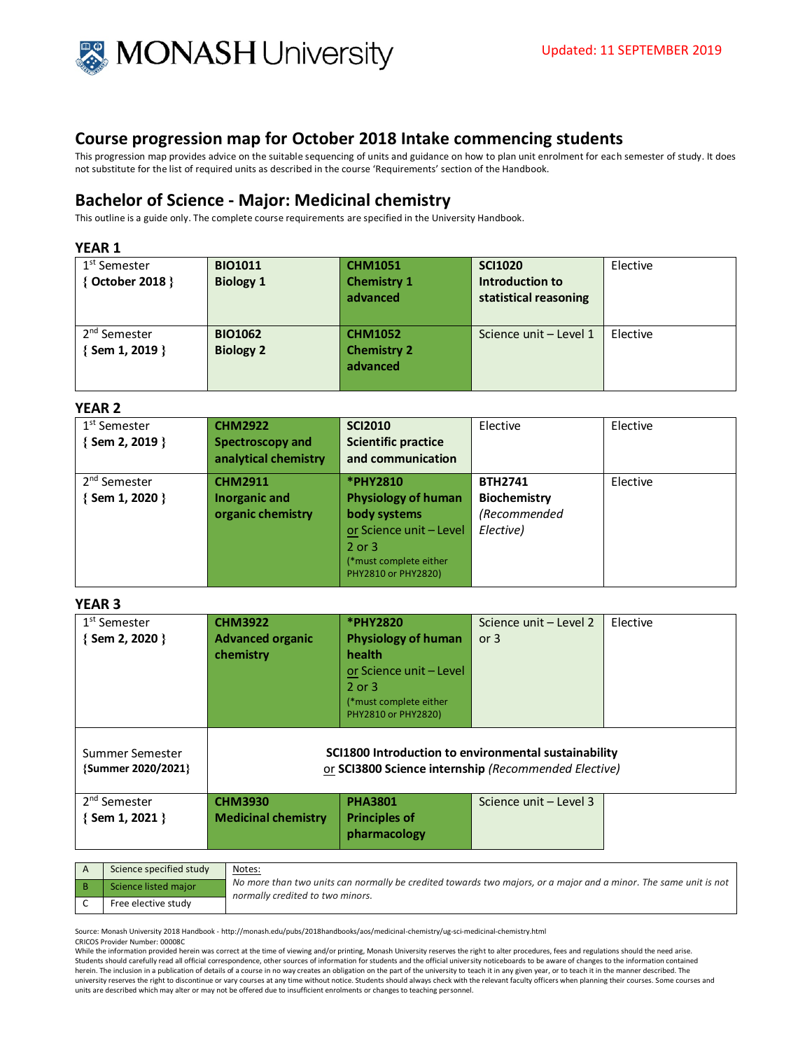

This progression map provides advice on the suitable sequencing of units and guidance on how to plan unit enrolment for each semester of study. It does not substitute for the list of required units as described in the course 'Requirements' section of the Handbook.

# **Bachelor of Science - Major: Medicinal chemistry**

This outline is a guide only. The complete course requirements are specified in the University Handbook.

#### **YEAR 1**

| 1 <sup>st</sup> Semester | <b>BIO1011</b>   | <b>CHM1051</b>     | <b>SCI1020</b>         | Elective |
|--------------------------|------------------|--------------------|------------------------|----------|
| { October 2018 }         | <b>Biology 1</b> | <b>Chemistry 1</b> | Introduction to        |          |
|                          |                  | advanced           | statistical reasoning  |          |
|                          |                  |                    |                        |          |
| 2 <sup>nd</sup> Semester | <b>BIO1062</b>   | <b>CHM1052</b>     | Science unit - Level 1 | Elective |
| { Sem 1, 2019 }          | <b>Biology 2</b> | <b>Chemistry 2</b> |                        |          |
|                          |                  | advanced           |                        |          |
|                          |                  |                    |                        |          |

#### **YEAR 2**

| 1 <sup>st</sup> Semester<br>{Sem 2, 2019 } | <b>CHM2922</b><br><b>Spectroscopy and</b><br>analytical chemistry | <b>SCI2010</b><br><b>Scientific practice</b><br>and communication                                                                                | Elective                                                           | Elective |
|--------------------------------------------|-------------------------------------------------------------------|--------------------------------------------------------------------------------------------------------------------------------------------------|--------------------------------------------------------------------|----------|
| 2 <sup>nd</sup> Semester<br>{Sem 1, 2020 } | <b>CHM2911</b><br><b>Inorganic and</b><br>organic chemistry       | *PHY2810<br><b>Physiology of human</b><br>body systems<br>or Science unit - Level<br>$2$ or $3$<br>(*must complete either<br>PHY2810 or PHY2820) | <b>BTH2741</b><br><b>Biochemistry</b><br>(Recommended<br>Elective) | Elective |

#### **YEAR 3**

| 1 <sup>st</sup> Semester<br>$\{$ Sem 2, 2020 $\}$ | <b>CHM3922</b><br><b>Advanced organic</b><br>chemistry                                                       | *PHY2820<br><b>Physiology of human</b><br><b>health</b><br>or Science unit - Level<br>$2$ or $3$<br>(*must complete either<br>PHY2810 or PHY2820) | Science unit - Level 2<br>or $3$ | Elective |
|---------------------------------------------------|--------------------------------------------------------------------------------------------------------------|---------------------------------------------------------------------------------------------------------------------------------------------------|----------------------------------|----------|
| Summer Semester<br>{Summer 2020/2021}             | SCI1800 Introduction to environmental sustainability<br>or SCI3800 Science internship (Recommended Elective) |                                                                                                                                                   |                                  |          |
| 2 <sup>nd</sup> Semester<br>$\{$ Sem 1, 2021 $\}$ | <b>CHM3930</b><br><b>Medicinal chemistry</b>                                                                 | <b>PHA3801</b><br><b>Principles of</b><br>pharmacology                                                                                            | Science unit - Level 3           |          |
| Science specified study<br>A                      | Notes:                                                                                                       |                                                                                                                                                   |                                  |          |

| Science specified study | <b>NOLES:</b>                                                                                                                                        |
|-------------------------|------------------------------------------------------------------------------------------------------------------------------------------------------|
| Science listed major    | No more than two units can normally be credited towards two majors, or a major and a minor. The same unit is not<br>normally credited to two minors. |
| Free elective study     |                                                                                                                                                      |

Source: Monash University 2018 Handbook - http://monash.edu/pubs/2018handbooks/aos/medicinal-chemistry/ug-sci-medicinal-chemistry.html

CRICOS Provider Number: 00008C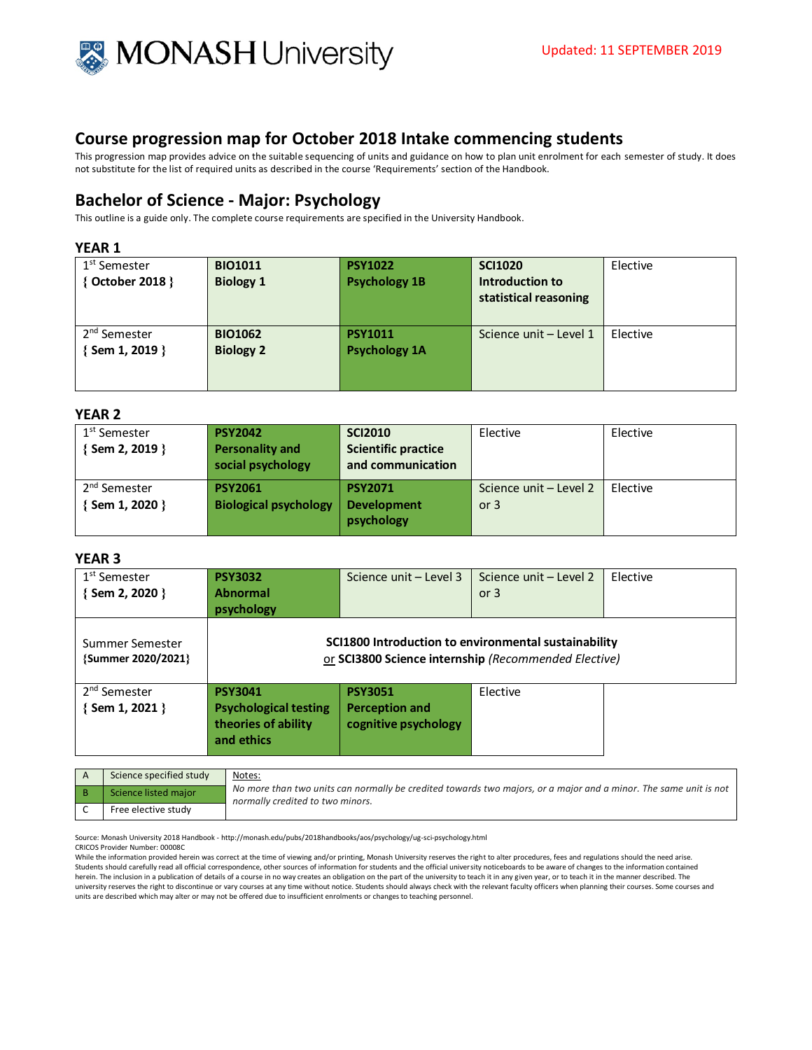

This progression map provides advice on the suitable sequencing of units and guidance on how to plan unit enrolment for each semester of study. It does not substitute for the list of required units as described in the course 'Requirements' section of the Handbook.

# **Bachelor of Science - Major: Psychology**

This outline is a guide only. The complete course requirements are specified in the University Handbook.

#### **YEAR 1**

| 1 <sup>st</sup> Semester<br>{ October 2018 }      | <b>BIO1011</b><br><b>Biology 1</b> | <b>PSY1022</b><br><b>Psychology 1B</b> | <b>SCI1020</b><br>Introduction to<br>statistical reasoning | Elective |
|---------------------------------------------------|------------------------------------|----------------------------------------|------------------------------------------------------------|----------|
| 2 <sup>nd</sup> Semester<br>$\{$ Sem 1, 2019 $\}$ | <b>BIO1062</b><br><b>Biology 2</b> | <b>PSY1011</b><br><b>Psychology 1A</b> | Science unit - Level 1                                     | Elective |

#### **YEAR 2**

| 1 <sup>st</sup> Semester<br>{Sem 2, 2019 } | <b>PSY2042</b><br><b>Personality and</b><br>social psychology | <b>SCI2010</b><br><b>Scientific practice</b><br>and communication | Elective               | Elective |
|--------------------------------------------|---------------------------------------------------------------|-------------------------------------------------------------------|------------------------|----------|
| 2 <sup>nd</sup> Semester                   | <b>PSY2061</b>                                                | <b>PSY2071</b>                                                    | Science unit – Level 2 | Elective |
| { Sem 1, 2020 }                            | <b>Biological psychology</b>                                  | <b>Development</b><br>psychology                                  | or $3$                 |          |

#### **YEAR 3**

| 1 <sup>st</sup> Semester<br>$\{$ Sem 2, 2020 $\}$ | <b>PSY3032</b><br><b>Abnormal</b><br>psychology                                                              | Science unit - Level 3                                          | Science unit - Level 2<br>or $3$ | Elective |
|---------------------------------------------------|--------------------------------------------------------------------------------------------------------------|-----------------------------------------------------------------|----------------------------------|----------|
| Summer Semester<br>{Summer 2020/2021}             | SCI1800 Introduction to environmental sustainability<br>or SCI3800 Science internship (Recommended Elective) |                                                                 |                                  |          |
| 2 <sup>nd</sup> Semester<br>{ Sem 1, 2021 }       | <b>PSY3041</b><br><b>Psychological testing</b><br>theories of ability<br>and ethics                          | <b>PSY3051</b><br><b>Perception and</b><br>cognitive psychology | Elective                         |          |

| Science specified study | Notes:                                                                                                                                               |
|-------------------------|------------------------------------------------------------------------------------------------------------------------------------------------------|
| Science listed major    | No more than two units can normally be credited towards two majors, or a major and a minor. The same unit is not<br>normally credited to two minors. |
| Free elective study     |                                                                                                                                                      |

Source: Monash University 2018 Handbook - http://monash.edu/pubs/2018handbooks/aos/psychology/ug-sci-psychology.html

CRICOS Provider Number: 00008C

While the information provided herein was correct at the time of viewing and/or printing, Monash University reserves the right to alter procedures, fees and regulations should the need arise. Students should carefully read all official correspondence, other sources of information for students and the official university noticeboards to be aware of changes to the information contained herein. The inclusion in a publication of details of a course in no way creates an obligation on the part of the university to teach it in any given year, or to teach it in the manner described. The university reserves the right to discontinue or vary courses at any time without notice. Students should always check with the relevant faculty officers when planning their courses. Some courses and units are described which may alter or may not be offered due to insufficient enrolments or changes to teaching personnel.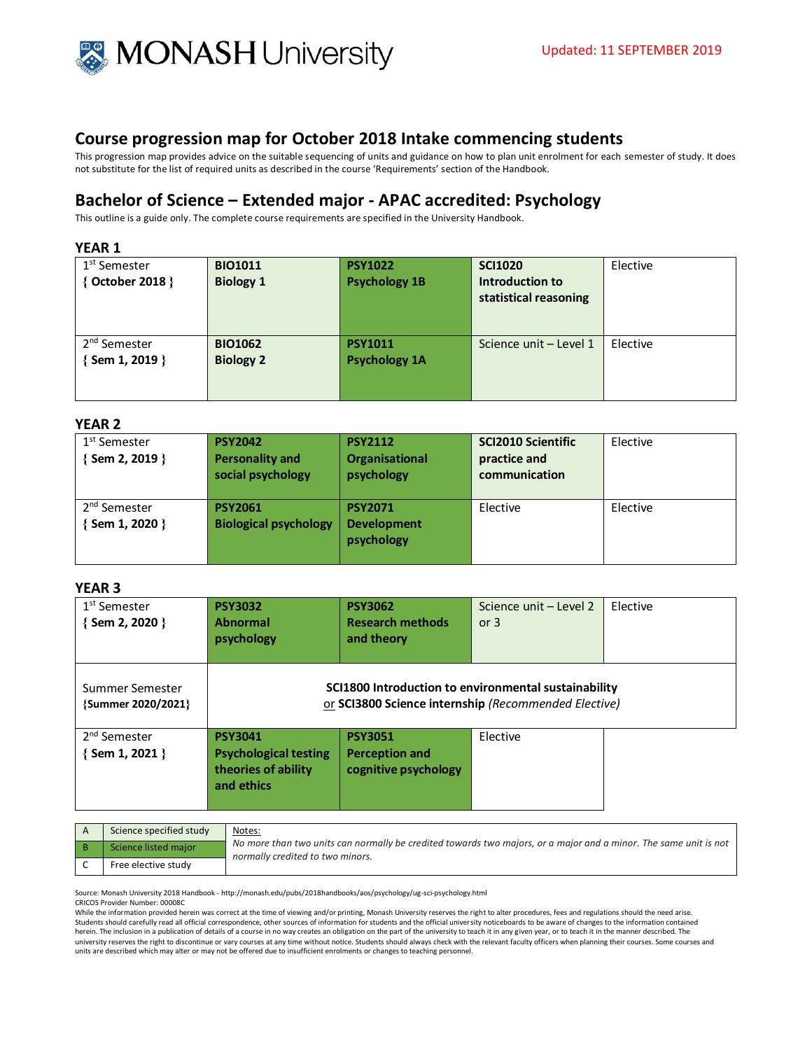

This progression map provides advice on the suitable sequencing of units and guidance on how to plan unit enrolment for each semester of study. It does not substitute for the list of required units as described in the course 'Requirements' section of the Handbook.

# **Bachelor of Science – Extended major - APAC accredited: Psychology**

This outline is a guide only. The complete course requirements are specified in the University Handbook.

#### **YEAR 1**

| <b>BIO1011</b>   | <b>PSY1022</b>       | <b>SCI1020</b>         | Elective |
|------------------|----------------------|------------------------|----------|
| <b>Biology 1</b> | <b>Psychology 1B</b> | Introduction to        |          |
|                  |                      | statistical reasoning  |          |
|                  |                      |                        |          |
|                  |                      |                        |          |
| <b>BIO1062</b>   | <b>PSY1011</b>       | Science unit - Level 1 | Elective |
| <b>Biology 2</b> | <b>Psychology 1A</b> |                        |          |
|                  |                      |                        |          |
|                  |                      |                        |          |
|                  |                      |                        |          |

#### **YEAR 2**

| 1 <sup>st</sup> Semester<br>{Sem 2, 2019 }  | <b>PSY2042</b><br><b>Personality and</b><br>social psychology | <b>PSY2112</b><br>Organisational<br>psychology     | <b>SCI2010 Scientific</b><br>practice and<br>communication | Elective |
|---------------------------------------------|---------------------------------------------------------------|----------------------------------------------------|------------------------------------------------------------|----------|
| 2 <sup>nd</sup> Semester<br>{ Sem 1, 2020 } | <b>PSY2061</b><br><b>Biological psychology</b>                | <b>PSY2071</b><br><b>Development</b><br>psychology | Elective                                                   | Elective |

#### **YEAR 3**

| 1 <sup>st</sup> Semester<br>{ Sem 2, 2020 } | <b>PSY3032</b><br><b>Abnormal</b><br>psychology                                                              | <b>PSY3062</b><br><b>Research methods</b><br>and theory         | Science unit - Level 2<br>or $3$ | Elective |
|---------------------------------------------|--------------------------------------------------------------------------------------------------------------|-----------------------------------------------------------------|----------------------------------|----------|
| Summer Semester<br>{Summer 2020/2021}       | SCI1800 Introduction to environmental sustainability<br>or SCI3800 Science internship (Recommended Elective) |                                                                 |                                  |          |
| 2 <sup>nd</sup> Semester<br>{ Sem 1, 2021 } | <b>PSY3041</b><br><b>Psychological testing</b><br>theories of ability<br>and ethics                          | <b>PSY3051</b><br><b>Perception and</b><br>cognitive psychology | Elective                         |          |

|                      | Notes:                                                                                                                                               |
|----------------------|------------------------------------------------------------------------------------------------------------------------------------------------------|
| Science listed major | No more than two units can normally be credited towards two majors, or a major and a minor. The same unit is not<br>normally credited to two minors. |
| Free elective study  |                                                                                                                                                      |

Source: Monash University 2018 Handbook - http://monash.edu/pubs/2018handbooks/aos/psychology/ug-sci-psychology.html

CRICOS Provider Number: 00008C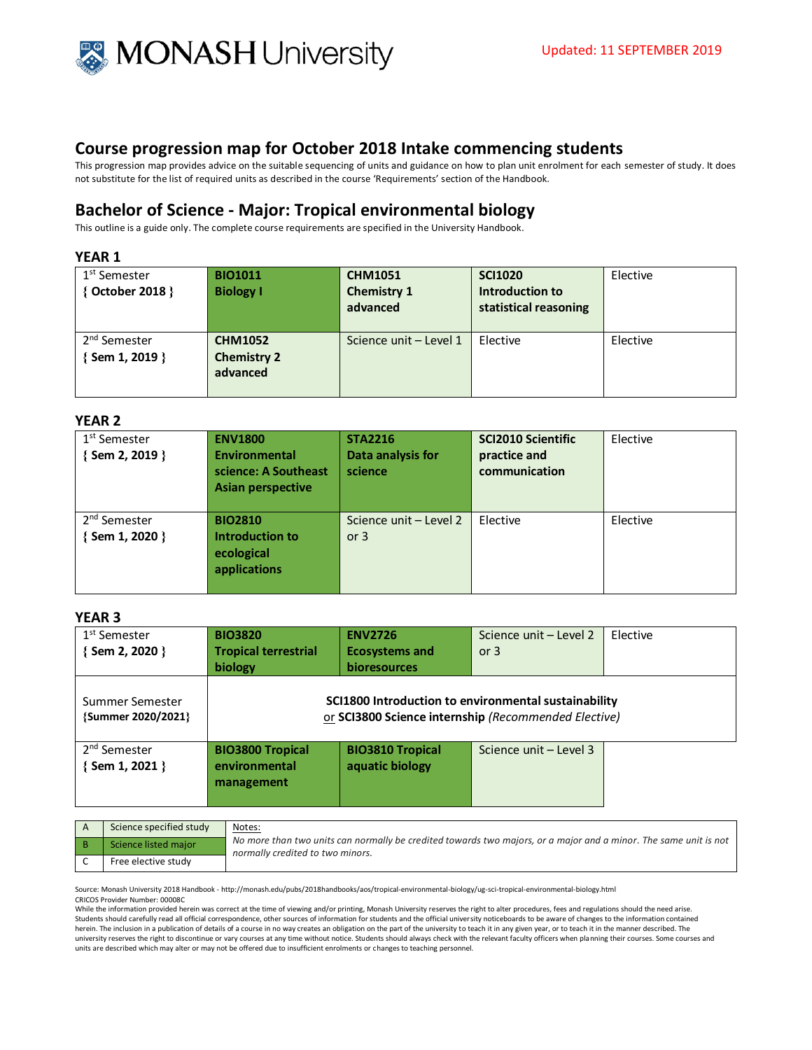

This progression map provides advice on the suitable sequencing of units and guidance on how to plan unit enrolment for each semester of study. It does not substitute for the list of required units as described in the course 'Requirements' section of the Handbook.

# **Bachelor of Science - Major: Tropical environmental biology**

This outline is a guide only. The complete course requirements are specified in the University Handbook.

#### **YEAR 1**

| 1 <sup>st</sup> Semester<br>{ October 2018 } | <b>BIO1011</b><br><b>Biology I</b>               | <b>CHM1051</b><br><b>Chemistry 1</b><br>advanced | <b>SCI1020</b><br>Introduction to<br>statistical reasoning | Elective |
|----------------------------------------------|--------------------------------------------------|--------------------------------------------------|------------------------------------------------------------|----------|
| 2 <sup>nd</sup> Semester<br>{ Sem 1, 2019 }  | <b>CHM1052</b><br><b>Chemistry 2</b><br>advanced | Science unit - Level 1                           | Elective                                                   | Elective |

#### **YEAR 2**

| 1 <sup>st</sup> Semester<br>{Sem 2, 2019 }        | <b>ENV1800</b><br><b>Environmental</b><br>science: A Southeast<br><b>Asian perspective</b> | <b>STA2216</b><br>Data analysis for<br>science | <b>SCI2010 Scientific</b><br>practice and<br>communication | Elective |
|---------------------------------------------------|--------------------------------------------------------------------------------------------|------------------------------------------------|------------------------------------------------------------|----------|
| 2 <sup>nd</sup> Semester<br>$\{$ Sem 1, 2020 $\}$ | <b>BIO2810</b><br><b>Introduction to</b><br>ecological<br>applications                     | Science unit - Level 2<br>or $3$               | Elective                                                   | Elective |

#### **YEAR 3**

| 1 <sup>st</sup> Semester<br>{ Sem 2, 2020 }       | <b>BIO3820</b><br><b>Tropical terrestrial</b><br>biology | <b>ENV2726</b><br><b>Ecosystems and</b><br><b>bioresources</b>                                               | Science unit - Level 2<br>or $3$ | Elective |
|---------------------------------------------------|----------------------------------------------------------|--------------------------------------------------------------------------------------------------------------|----------------------------------|----------|
| Summer Semester<br>{Summer 2020/2021}             |                                                          | SCI1800 Introduction to environmental sustainability<br>or SCI3800 Science internship (Recommended Elective) |                                  |          |
| 2 <sup>nd</sup> Semester<br>$\{$ Sem 1, 2021 $\}$ | <b>BIO3800 Tropical</b><br>environmental<br>management   | <b>BIO3810 Tropical</b><br>aquatic biology                                                                   | Science unit - Level 3           |          |

| A | Science specified study | Notes:                                                                                                                                               |
|---|-------------------------|------------------------------------------------------------------------------------------------------------------------------------------------------|
|   | Science listed major    | No more than two units can normally be credited towards two majors, or a major and a minor. The same unit is not<br>normally credited to two minors. |
|   | Free elective study     |                                                                                                                                                      |

Source: Monash University 2018 Handbook - http://monash.edu/pubs/2018handbooks/aos/tropical-environmental-biology/ug-sci-tropical-environmental-biology.html CRICOS Provider Number: 00008C